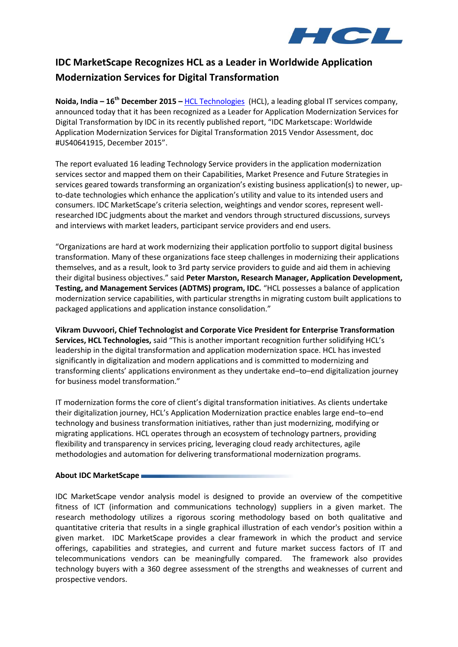

# **IDC MarketScape Recognizes HCL as a Leader in Worldwide Application Modernization Services for Digital Transformation**

**Noida, India – 16 th December 2015 –** [HCL Technologies](http://www.hcltech.com/) (HCL), a leading global IT services company, announced today that it has been recognized as a Leader for Application Modernization Services for Digital Transformation by IDC in its recently published report, "IDC Marketscape: Worldwide Application Modernization Services for Digital Transformation 2015 Vendor Assessment, doc #US40641915, December 2015".

The report evaluated 16 leading Technology Service providers in the application modernization services sector and mapped them on their Capabilities, Market Presence and Future Strategies in services geared towards transforming an organization's existing business application(s) to newer, upto-date technologies which enhance the application's utility and value to its intended users and consumers. IDC MarketScape's criteria selection, weightings and vendor scores, represent wellresearched IDC judgments about the market and vendors through structured discussions, surveys and interviews with market leaders, participant service providers and end users.

"Organizations are hard at work modernizing their application portfolio to support digital business transformation. Many of these organizations face steep challenges in modernizing their applications themselves, and as a result, look to 3rd party service providers to guide and aid them in achieving their digital business objectives." said **Peter Marston, Research Manager, Application Development, Testing, and Management Services (ADTMS) program, IDC.** "HCL possesses a balance of application modernization service capabilities, with particular strengths in migrating custom built applications to packaged applications and application instance consolidation."

**Vikram Duvvoori, Chief Technologist and Corporate Vice President for Enterprise Transformation Services, HCL Technologies,** said "This is another important recognition further solidifying HCL's leadership in the digital transformation and application modernization space. HCL has invested significantly in digitalization and modern applications and is committed to modernizing and transforming clients' applications environment as they undertake end–to–end digitalization journey for business model transformation."

IT modernization forms the core of client's digital transformation initiatives. As clients undertake their digitalization journey, HCL's Application Modernization practice enables large end–to–end technology and business transformation initiatives, rather than just modernizing, modifying or migrating applications. HCL operates through an ecosystem of technology partners, providing flexibility and transparency in services pricing, leveraging cloud ready architectures, agile methodologies and automation for delivering transformational modernization programs.

## **About IDC MarketScape**

IDC MarketScape vendor analysis model is designed to provide an overview of the competitive fitness of ICT (information and communications technology) suppliers in a given market. The research methodology utilizes a rigorous scoring methodology based on both qualitative and quantitative criteria that results in a single graphical illustration of each vendor's position within a given market. IDC MarketScape provides a clear framework in which the product and service offerings, capabilities and strategies, and current and future market success factors of IT and telecommunications vendors can be meaningfully compared. The framework also provides technology buyers with a 360 degree assessment of the strengths and weaknesses of current and prospective vendors.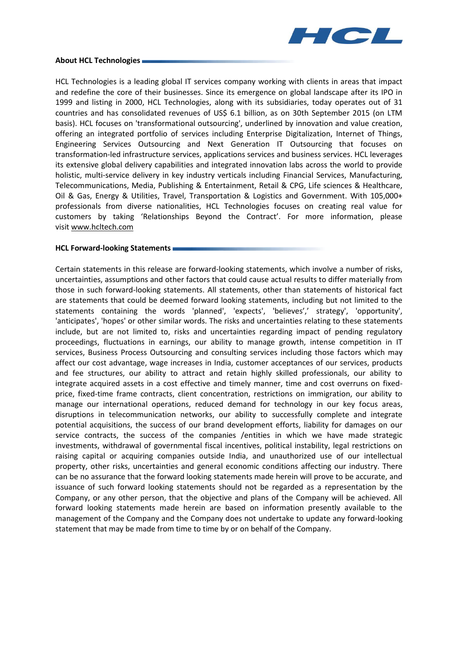

### **About HCL Technologies**

HCL Technologies is a leading global IT services company working with clients in areas that impact and redefine the core of their businesses. Since its emergence on global landscape after its IPO in 1999 and listing in 2000, HCL Technologies, along with its subsidiaries, today operates out of 31 countries and has consolidated revenues of US\$ 6.1 billion, as on 30th September 2015 (on LTM basis). HCL focuses on 'transformational outsourcing', underlined by innovation and value creation, offering an integrated portfolio of services including Enterprise Digitalization, Internet of Things, Engineering Services Outsourcing and Next Generation IT Outsourcing that focuses on transformation-led infrastructure services, applications services and business services. HCL leverages its extensive global delivery capabilities and integrated innovation labs across the world to provide holistic, multi-service delivery in key industry verticals including Financial Services, Manufacturing, Telecommunications, Media, Publishing & Entertainment, Retail & CPG, Life sciences & Healthcare, Oil & Gas, Energy & Utilities, Travel, Transportation & Logistics and Government. With 105,000+ professionals from diverse nationalities, HCL Technologies focuses on creating real value for customers by taking 'Relationships Beyond the Contract'. For more information, please visit [www.hcltech.com](http://www.hcltech.com/) 

### **HCL Forward-looking Statements**

Certain statements in this release are forward-looking statements, which involve a number of risks, uncertainties, assumptions and other factors that could cause actual results to differ materially from those in such forward-looking statements. All statements, other than statements of historical fact are statements that could be deemed forward looking statements, including but not limited to the statements containing the words 'planned', 'expects', 'believes',' strategy', 'opportunity', 'anticipates', 'hopes' or other similar words. The risks and uncertainties relating to these statements include, but are not limited to, risks and uncertainties regarding impact of pending regulatory proceedings, fluctuations in earnings, our ability to manage growth, intense competition in IT services, Business Process Outsourcing and consulting services including those factors which may affect our cost advantage, wage increases in India, customer acceptances of our services, products and fee structures, our ability to attract and retain highly skilled professionals, our ability to integrate acquired assets in a cost effective and timely manner, time and cost overruns on fixedprice, fixed-time frame contracts, client concentration, restrictions on immigration, our ability to manage our international operations, reduced demand for technology in our key focus areas, disruptions in telecommunication networks, our ability to successfully complete and integrate potential acquisitions, the success of our brand development efforts, liability for damages on our service contracts, the success of the companies /entities in which we have made strategic investments, withdrawal of governmental fiscal incentives, political instability, legal restrictions on raising capital or acquiring companies outside India, and unauthorized use of our intellectual property, other risks, uncertainties and general economic conditions affecting our industry. There can be no assurance that the forward looking statements made herein will prove to be accurate, and issuance of such forward looking statements should not be regarded as a representation by the Company, or any other person, that the objective and plans of the Company will be achieved. All forward looking statements made herein are based on information presently available to the management of the Company and the Company does not undertake to update any forward-looking statement that may be made from time to time by or on behalf of the Company.